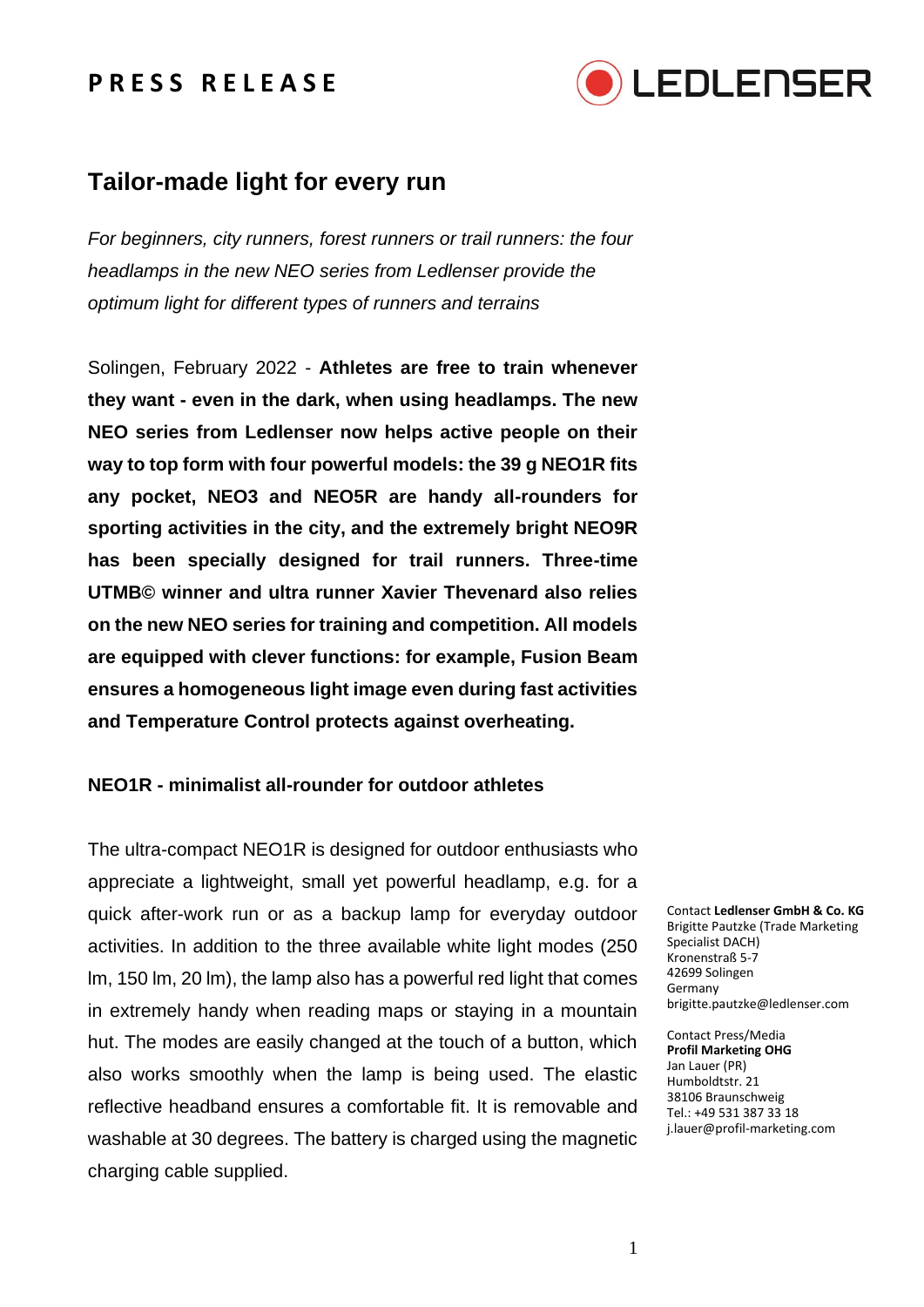

## **Tailor-made light for every run**

*For beginners, city runners, forest runners or trail runners: the four headlamps in the new NEO series from Ledlenser provide the optimum light for different types of runners and terrains*

Solingen, February 2022 - **Athletes are free to train whenever they want - even in the dark, when using headlamps. The new NEO series from Ledlenser now helps active people on their way to top form with four powerful models: the 39 g NEO1R fits any pocket, NEO3 and NEO5R are handy all-rounders for sporting activities in the city, and the extremely bright NEO9R has been specially designed for trail runners. Three-time UTMB© winner and ultra runner Xavier Thevenard also relies on the new NEO series for training and competition. All models are equipped with clever functions: for example, Fusion Beam ensures a homogeneous light image even during fast activities and Temperature Control protects against overheating.**

### **NEO1R - minimalist all-rounder for outdoor athletes**

The ultra-compact NEO1R is designed for outdoor enthusiasts who appreciate a lightweight, small yet powerful headlamp, e.g. for a quick after-work run or as a backup lamp for everyday outdoor activities. In addition to the three available white light modes (250 lm, 150 lm, 20 lm), the lamp also has a powerful red light that comes in extremely handy when reading maps or staying in a mountain hut. The modes are easily changed at the touch of a button, which also works smoothly when the lamp is being used. The elastic reflective headband ensures a comfortable fit. It is removable and washable at 30 degrees. The battery is charged using the magnetic charging cable supplied.

Contact **Ledlenser GmbH & Co. KG** Brigitte Pautzke (Trade Marketing Specialist DACH) Kronenstraß 5-7 42699 Solingen Germany brigitte.pautzke@ledlenser.com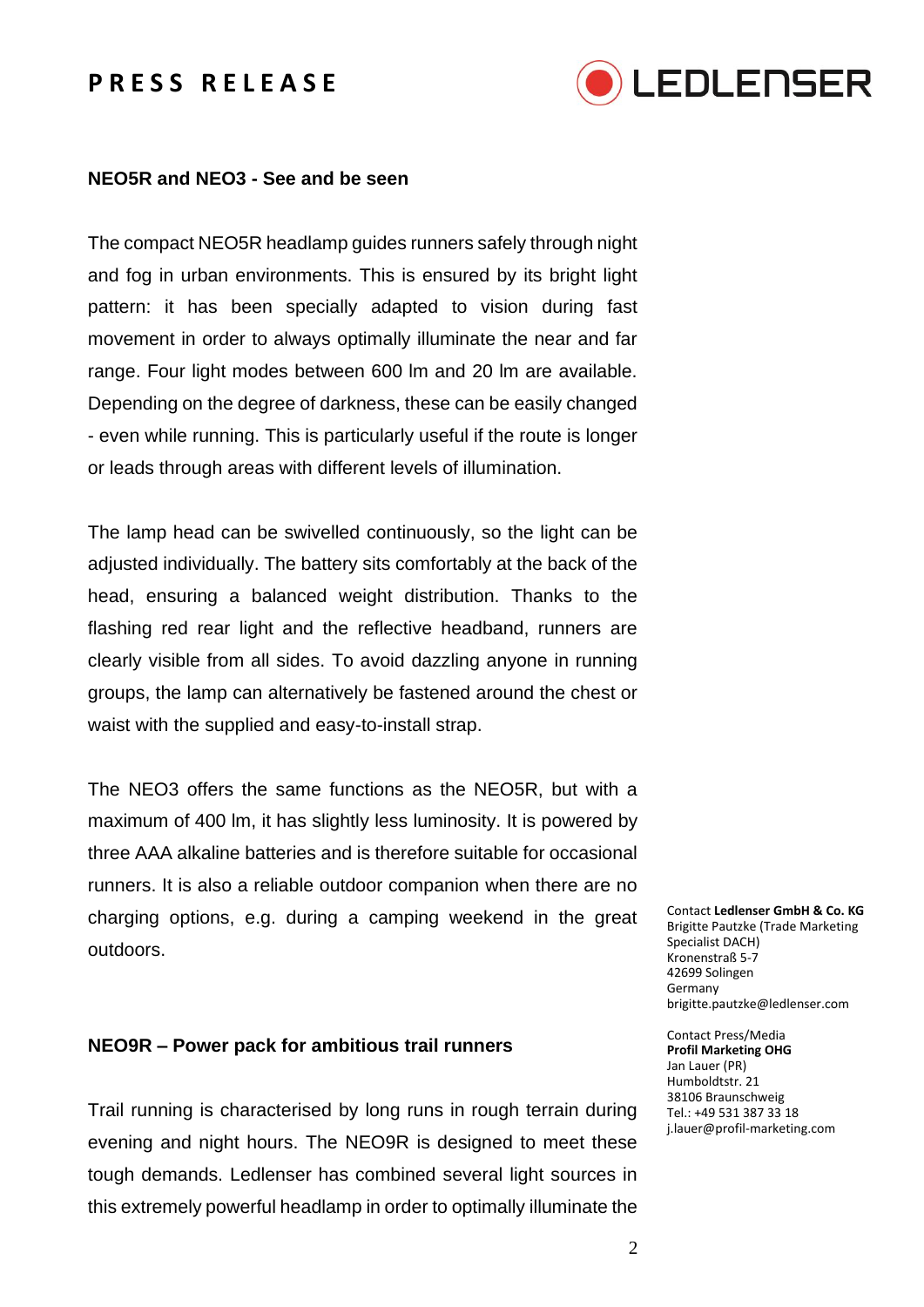

### **NEO5R and NEO3 - See and be seen**

The compact NEO5R headlamp guides runners safely through night and fog in urban environments. This is ensured by its bright light pattern: it has been specially adapted to vision during fast movement in order to always optimally illuminate the near and far range. Four light modes between 600 lm and 20 lm are available. Depending on the degree of darkness, these can be easily changed - even while running. This is particularly useful if the route is longer or leads through areas with different levels of illumination.

The lamp head can be swivelled continuously, so the light can be adjusted individually. The battery sits comfortably at the back of the head, ensuring a balanced weight distribution. Thanks to the flashing red rear light and the reflective headband, runners are clearly visible from all sides. To avoid dazzling anyone in running groups, the lamp can alternatively be fastened around the chest or waist with the supplied and easy-to-install strap.

The NEO3 offers the same functions as the NEO5R, but with a maximum of 400 lm, it has slightly less luminosity. It is powered by three AAA alkaline batteries and is therefore suitable for occasional runners. It is also a reliable outdoor companion when there are no charging options, e.g. during a camping weekend in the great outdoors.

### **NEO9R – Power pack for ambitious trail runners**

Trail running is characterised by long runs in rough terrain during evening and night hours. The NEO9R is designed to meet these tough demands. Ledlenser has combined several light sources in this extremely powerful headlamp in order to optimally illuminate the

Contact **Ledlenser GmbH & Co. KG** Brigitte Pautzke (Trade Marketing Specialist DACH) Kronenstraß 5-7 42699 Solingen Germany brigitte.pautzke@ledlenser.com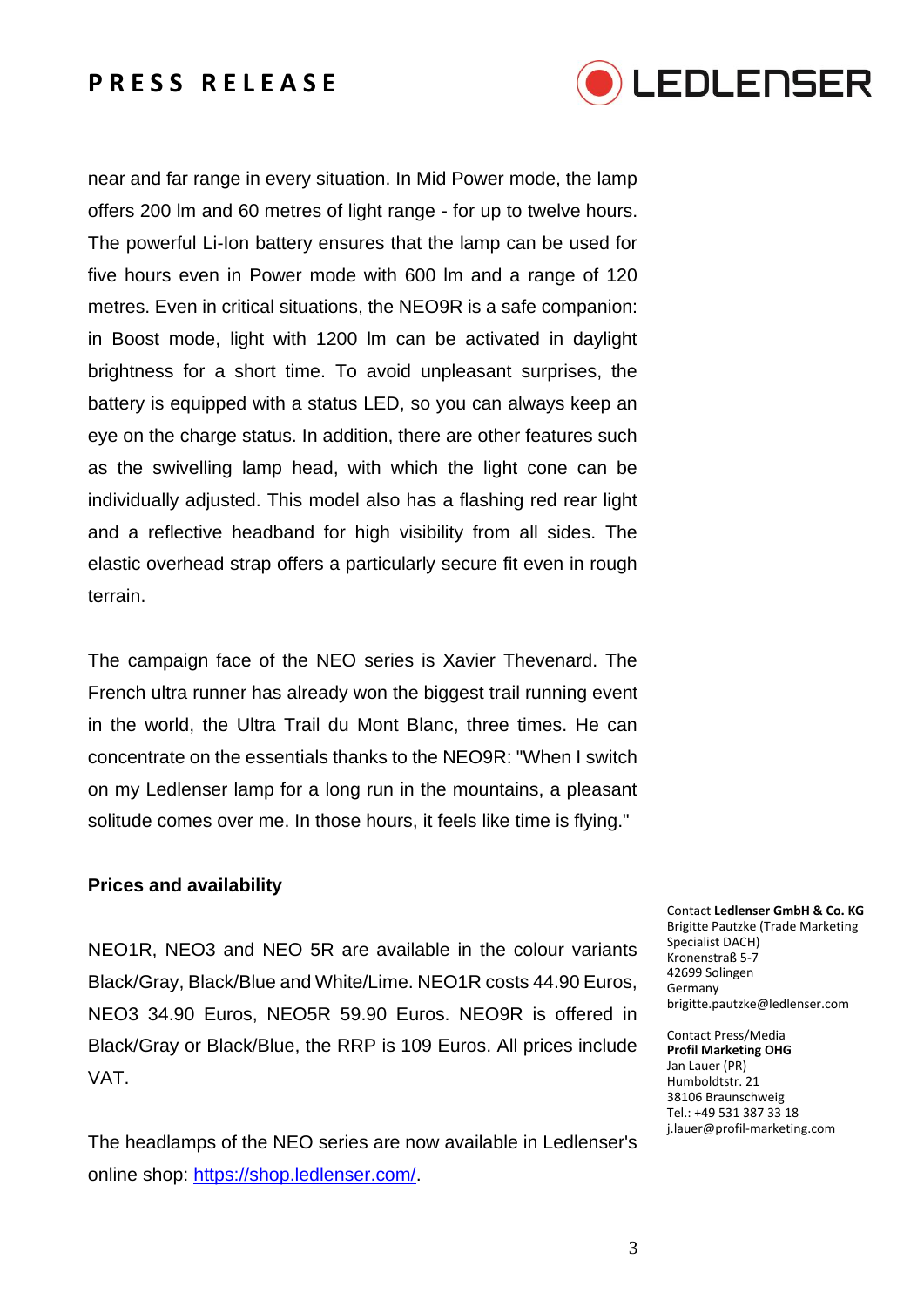

near and far range in every situation. In Mid Power mode, the lamp offers 200 lm and 60 metres of light range - for up to twelve hours. The powerful Li-Ion battery ensures that the lamp can be used for five hours even in Power mode with 600 lm and a range of 120 metres. Even in critical situations, the NEO9R is a safe companion: in Boost mode, light with 1200 lm can be activated in daylight brightness for a short time. To avoid unpleasant surprises, the battery is equipped with a status LED, so you can always keep an eye on the charge status. In addition, there are other features such as the swivelling lamp head, with which the light cone can be individually adjusted. This model also has a flashing red rear light and a reflective headband for high visibility from all sides. The elastic overhead strap offers a particularly secure fit even in rough terrain.

The campaign face of the NEO series is Xavier Thevenard. The French ultra runner has already won the biggest trail running event in the world, the Ultra Trail du Mont Blanc, three times. He can concentrate on the essentials thanks to the NEO9R: "When I switch on my Ledlenser lamp for a long run in the mountains, a pleasant solitude comes over me. In those hours, it feels like time is flying."

### **Prices and availability**

NEO1R, NEO3 and NEO 5R are available in the colour variants Black/Gray, Black/Blue and White/Lime. NEO1R costs 44.90 Euros, NEO3 34.90 Euros, NEO5R 59.90 Euros. NEO9R is offered in Black/Gray or Black/Blue, the RRP is 109 Euros. All prices include VAT.

The headlamps of the NEO series are now available in Ledlenser's online shop: [https://shop.ledlenser.com/.](https://shop.ledlenser.com/)

Contact **Ledlenser GmbH & Co. KG** Brigitte Pautzke (Trade Marketing Specialist DACH) Kronenstraß 5-7 42699 Solingen Germany brigitte.pautzke@ledlenser.com